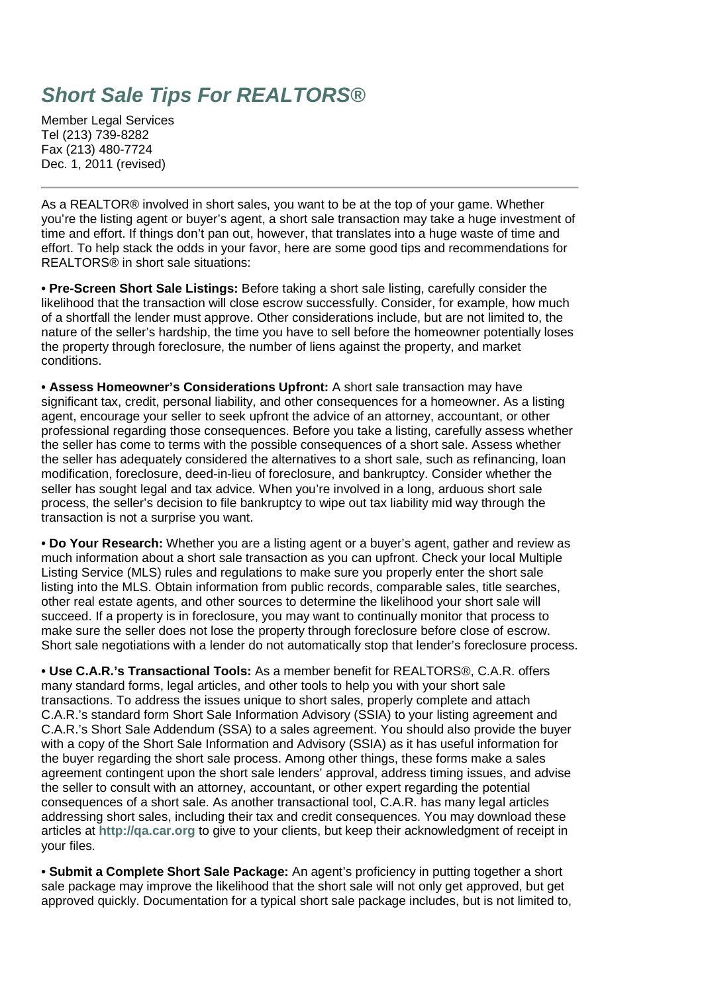## **Short Sale Tips For REALTORS®**

Member Legal Services Tel (213) 739-8282 Fax (213) 480-7724 Dec. 1, 2011 (revised)

As a REALTOR® involved in short sales, you want to be at the top of your game. Whether you're the listing agent or buyer's agent, a short sale transaction may take a huge investment of time and effort. If things don't pan out, however, that translates into a huge waste of time and effort. To help stack the odds in your favor, here are some good tips and recommendations for REALTORS® in short sale situations:

**• Pre-Screen Short Sale Listings:** Before taking a short sale listing, carefully consider the likelihood that the transaction will close escrow successfully. Consider, for example, how much of a shortfall the lender must approve. Other considerations include, but are not limited to, the nature of the seller's hardship, the time you have to sell before the homeowner potentially loses the property through foreclosure, the number of liens against the property, and market conditions.

**• Assess Homeowner's Considerations Upfront:** A short sale transaction may have significant tax, credit, personal liability, and other consequences for a homeowner. As a listing agent, encourage your seller to seek upfront the advice of an attorney, accountant, or other professional regarding those consequences. Before you take a listing, carefully assess whether the seller has come to terms with the possible consequences of a short sale. Assess whether the seller has adequately considered the alternatives to a short sale, such as refinancing, loan modification, foreclosure, deed-in-lieu of foreclosure, and bankruptcy. Consider whether the seller has sought legal and tax advice. When you're involved in a long, arduous short sale process, the seller's decision to file bankruptcy to wipe out tax liability mid way through the transaction is not a surprise you want.

**• Do Your Research:** Whether you are a listing agent or a buyer's agent, gather and review as much information about a short sale transaction as you can upfront. Check your local Multiple Listing Service (MLS) rules and regulations to make sure you properly enter the short sale listing into the MLS. Obtain information from public records, comparable sales, title searches, other real estate agents, and other sources to determine the likelihood your short sale will succeed. If a property is in foreclosure, you may want to continually monitor that process to make sure the seller does not lose the property through foreclosure before close of escrow. Short sale negotiations with a lender do not automatically stop that lender's foreclosure process.

**• Use C.A.R.'s Transactional Tools:** As a member benefit for REALTORS®, C.A.R. offers many standard forms, legal articles, and other tools to help you with your short sale transactions. To address the issues unique to short sales, properly complete and attach C.A.R.'s standard form Short Sale Information Advisory (SSIA) to your listing agreement and C.A.R.'s Short Sale Addendum (SSA) to a sales agreement. You should also provide the buyer with a copy of the Short Sale Information and Advisory (SSIA) as it has useful information for the buyer regarding the short sale process. Among other things, these forms make a sales agreement contingent upon the short sale lenders' approval, address timing issues, and advise the seller to consult with an attorney, accountant, or other expert regarding the potential consequences of a short sale. As another transactional tool, C.A.R. has many legal articles addressing short sales, including their tax and credit consequences. You may download these articles at **http://qa.car.org** to give to your clients, but keep their acknowledgment of receipt in your files.

**• Submit a Complete Short Sale Package:** An agent's proficiency in putting together a short sale package may improve the likelihood that the short sale will not only get approved, but get approved quickly. Documentation for a typical short sale package includes, but is not limited to,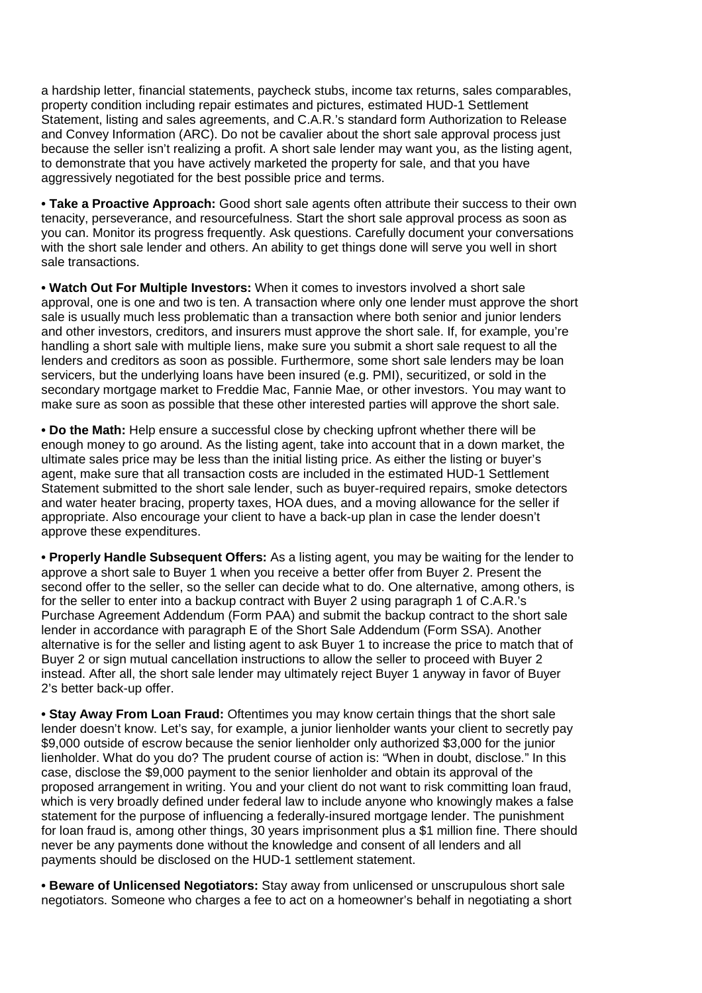a hardship letter, financial statements, paycheck stubs, income tax returns, sales comparables, property condition including repair estimates and pictures, estimated HUD-1 Settlement Statement, listing and sales agreements, and C.A.R.'s standard form Authorization to Release and Convey Information (ARC). Do not be cavalier about the short sale approval process just because the seller isn't realizing a profit. A short sale lender may want you, as the listing agent, to demonstrate that you have actively marketed the property for sale, and that you have aggressively negotiated for the best possible price and terms.

**• Take a Proactive Approach:** Good short sale agents often attribute their success to their own tenacity, perseverance, and resourcefulness. Start the short sale approval process as soon as you can. Monitor its progress frequently. Ask questions. Carefully document your conversations with the short sale lender and others. An ability to get things done will serve you well in short sale transactions.

**• Watch Out For Multiple Investors:** When it comes to investors involved a short sale approval, one is one and two is ten. A transaction where only one lender must approve the short sale is usually much less problematic than a transaction where both senior and junior lenders and other investors, creditors, and insurers must approve the short sale. If, for example, you're handling a short sale with multiple liens, make sure you submit a short sale request to all the lenders and creditors as soon as possible. Furthermore, some short sale lenders may be loan servicers, but the underlying loans have been insured (e.g. PMI), securitized, or sold in the secondary mortgage market to Freddie Mac, Fannie Mae, or other investors. You may want to make sure as soon as possible that these other interested parties will approve the short sale.

**• Do the Math:** Help ensure a successful close by checking upfront whether there will be enough money to go around. As the listing agent, take into account that in a down market, the ultimate sales price may be less than the initial listing price. As either the listing or buyer's agent, make sure that all transaction costs are included in the estimated HUD-1 Settlement Statement submitted to the short sale lender, such as buyer-required repairs, smoke detectors and water heater bracing, property taxes, HOA dues, and a moving allowance for the seller if appropriate. Also encourage your client to have a back-up plan in case the lender doesn't approve these expenditures.

**• Properly Handle Subsequent Offers:** As a listing agent, you may be waiting for the lender to approve a short sale to Buyer 1 when you receive a better offer from Buyer 2. Present the second offer to the seller, so the seller can decide what to do. One alternative, among others, is for the seller to enter into a backup contract with Buyer 2 using paragraph 1 of C.A.R.'s Purchase Agreement Addendum (Form PAA) and submit the backup contract to the short sale lender in accordance with paragraph E of the Short Sale Addendum (Form SSA). Another alternative is for the seller and listing agent to ask Buyer 1 to increase the price to match that of Buyer 2 or sign mutual cancellation instructions to allow the seller to proceed with Buyer 2 instead. After all, the short sale lender may ultimately reject Buyer 1 anyway in favor of Buyer 2's better back-up offer.

**• Stay Away From Loan Fraud:** Oftentimes you may know certain things that the short sale lender doesn't know. Let's say, for example, a junior lienholder wants your client to secretly pay \$9,000 outside of escrow because the senior lienholder only authorized \$3,000 for the junior lienholder. What do you do? The prudent course of action is: "When in doubt, disclose." In this case, disclose the \$9,000 payment to the senior lienholder and obtain its approval of the proposed arrangement in writing. You and your client do not want to risk committing loan fraud, which is very broadly defined under federal law to include anyone who knowingly makes a false statement for the purpose of influencing a federally-insured mortgage lender. The punishment for loan fraud is, among other things, 30 years imprisonment plus a \$1 million fine. There should never be any payments done without the knowledge and consent of all lenders and all payments should be disclosed on the HUD-1 settlement statement.

**• Beware of Unlicensed Negotiators:** Stay away from unlicensed or unscrupulous short sale negotiators. Someone who charges a fee to act on a homeowner's behalf in negotiating a short